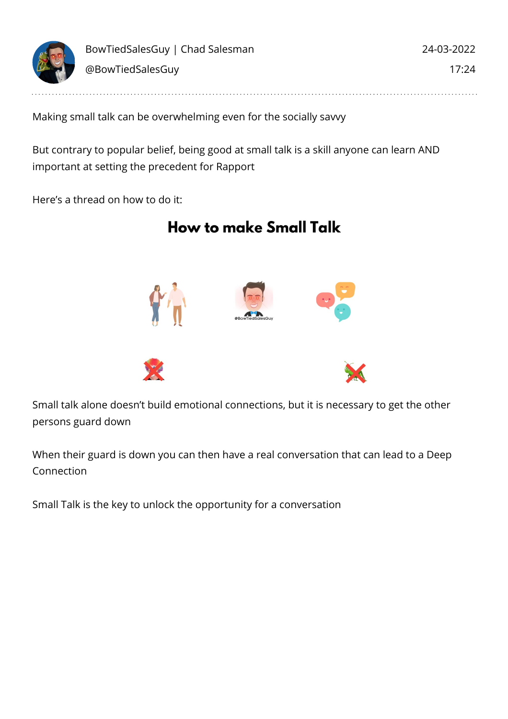

Making small talk can be overwhelming even for the socially savvy

But contrary to popular belief, being good at small talk is a skill anyone can learn AND important at setting the precedent for Rapport

Here's a thread on how to do it:

## **How to make Small Talk**



Small talk alone doesn't build emotional connections, but it is necessary to get the other persons guard down

When their guard is down you can then have a real conversation that can lead to a Deep Connection

Small Talk is the key to unlock the opportunity for a conversation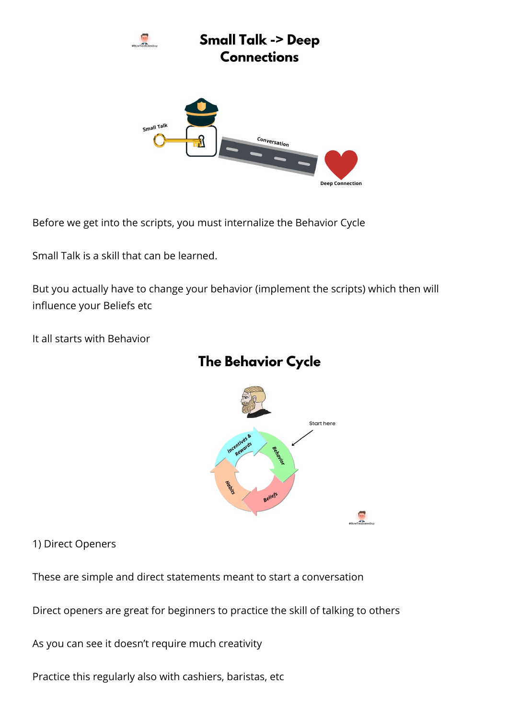

Before we get into the scripts, you must internalize the Behavior Cycle

Small Talk is a skill that can be learned.

But you actually have to change your behavior (implement the scripts) which then will influence your Beliefs etc

It all starts with Behavior



## **The Behavior Cycle**

1) Direct Openers

These are simple and direct statements meant to start a conversation

Direct openers are great for beginners to practice the skill of talking to others

As you can see it doesn't require much creativity

Practice this regularly also with cashiers, baristas, etc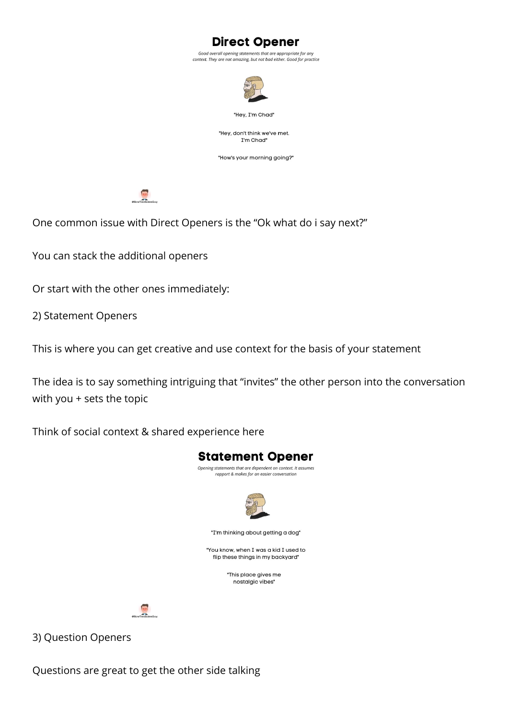**Direct Opener** 

Good overall opening statements that are appropriate for any context. They are not amazing, but not bad either. Good for practice



"Hey, I'm Chad"

"Hey, don't think we've met. I'm Chad"

"How's your morning going?"



One common issue with Direct Openers is the "Ok what do i say next?"

You can stack the additional openers

Or start with the other ones immediately:

2) Statement Openers

This is where you can get creative and use context for the basis of your statement

The idea is to say something intriguing that "invites" the other person into the conversation with you + sets the topic

Think of social context & shared experience here



3) Question Openers

Questions are great to get the other side talking